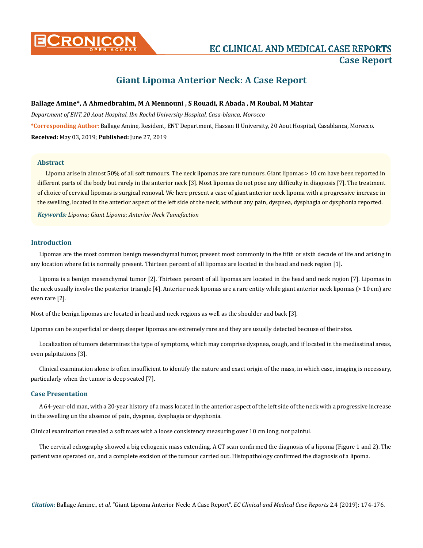

# **CONICON EXECUTIVE AND MEDICAL CASE REPORTS Case Report**

## **Giant Lipoma Anterior Neck: A Case Report**

#### **Ballage Amine\*, A Ahmedbrahim, M A Mennouni , S Rouadi, R Abada , M Roubal, M Mahtar**

*Department of ENT, 20 Aout Hospital, Ibn Rochd University Hospital, Casa-blanca, Morocco* **\*Corresponding Author**: Ballage Amine, Resident, ENT Department, Hassan II University, 20 Aout Hospital, Casablanca, Morocco. **Received:** May 03, 2019; **Published:** June 27, 2019

#### **Abstract**

Lipoma arise in almost 50% of all soft tumours. The neck lipomas are rare tumours. Giant lipomas > 10 cm have been reported in different parts of the body but rarely in the anterior neck [3]. Most lipomas do not pose any difficulty in diagnosis [7]. The treatment of choice of cervical lipomas is surgical removal. We here present a case of giant anterior neck lipoma with a progressive increase in the swelling, located in the anterior aspect of the left side of the neck, without any pain, dyspnea, dysphagia or dysphonia reported.

*Keywords: Lipoma; Giant Lipoma; Anterior Neck Tumefaction*

#### **Introduction**

Lipomas are the most common benign mesenchymal tumor, present most commonly in the fifth or sixth decade of life and arising in any location where fat is normally present. Thirteen percent of all lipomas are located in the head and neck region [1].

Lipoma is a benign mesenchymal tumor [2]. Thirteen percent of all lipomas are located in the head and neck region [7]. Lipomas in the neck usually involve the posterior triangle [4]. Anterior neck lipomas are a rare entity while giant anterior neck lipomas (> 10 cm) are even rare [2].

Most of the benign lipomas are located in head and neck regions as well as the shoulder and back [3].

Lipomas can be superficial or deep; deeper lipomas are extremely rare and they are usually detected because of their size.

Localization of tumors determines the type of symptoms, which may comprise dyspnea, cough, and if located in the mediastinal areas, even palpitations [3].

Clinical examination alone is often insufficient to identify the nature and exact origin of the mass, in which case, imaging is necessary, particularly when the tumor is deep seated [7].

#### **Case Presentation**

A 64-year-old man, with a 20-year history of a mass located in the anterior aspect of the left side of the neck with a progressive increase in the swelling un the absence of pain, dyspnea, dysphagia or dysphonia.

Clinical examination revealed a soft mass with a loose consistency measuring over 10 cm long, not painful.

The cervical echography showed a big echogenic mass extending. A CT scan confirmed the diagnosis of a lipoma (Figure 1 and 2). The patient was operated on, and a complete excision of the tumour carried out. Histopathology confirmed the diagnosis of a lipoma.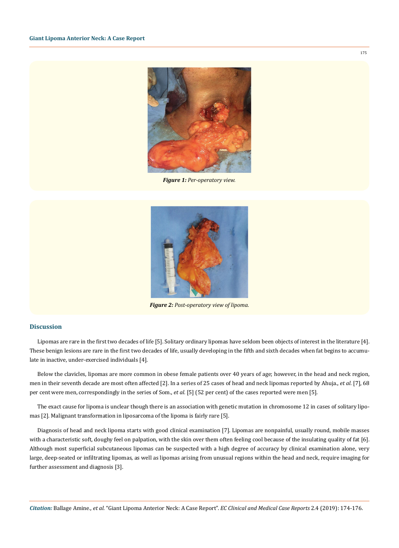

*Figure 1: Per-operatory view.*



*Figure 2: Post-operatory view of lipoma.*

### **Discussion**

Lipomas are rare in the first two decades of life [5]. Solitary ordinary lipomas have seldom been objects of interest in the literature [4]. These benign lesions are rare in the first two decades of life, usually developing in the fifth and sixth decades when fat begins to accumulate in inactive, under-exercised individuals [4].

Below the clavicles, lipomas are more common in obese female patients over 40 years of age; however, in the head and neck region, men in their seventh decade are most often affected [2]. In a series of 25 cases of head and neck lipomas reported by Ahuja., *et al.* [7], 68 per cent were men, correspondingly in the series of Som., *et al.* [5] (52 per cent) of the cases reported were men [5].

The exact cause for lipoma is unclear though there is an association with genetic mutation in chromosome 12 in cases of solitary lipomas [2]. Malignant transformation in liposarcoma of the lipoma is fairly rare [5].

Diagnosis of head and neck lipoma starts with good clinical examination [7]. Lipomas are nonpainful, usually round, mobile masses with a characteristic soft, doughy feel on palpation, with the skin over them often feeling cool because of the insulating quality of fat [6]. Although most superficial subcutaneous lipomas can be suspected with a high degree of accuracy by clinical examination alone, very large, deep-seated or infiltrating lipomas, as well as lipomas arising from unusual regions within the head and neck, require imaging for further assessment and diagnosis [3].